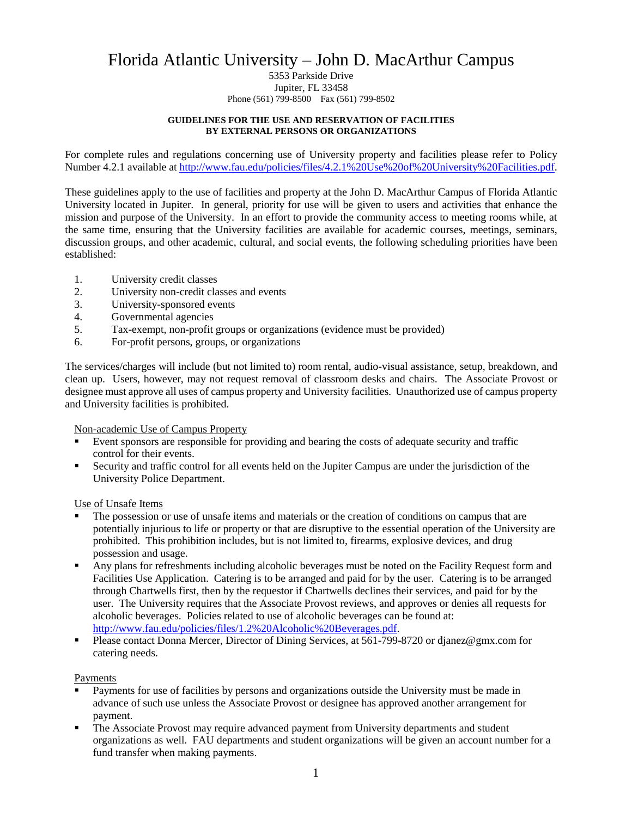# Florida Atlantic University – John D. MacArthur Campus

#### 5353 Parkside Drive Jupiter, FL 33458 Phone (561) 799-8500 Fax (561) 799-8502

#### **GUIDELINES FOR THE USE AND RESERVATION OF FACILITIES BY EXTERNAL PERSONS OR ORGANIZATIONS**

For complete rules and regulations concerning use of University property and facilities please refer to Policy Number 4.2.1 available a[t http://www.fau.edu/policies/files/4.2.1%20Use%20of%20University%20Facilities.pdf.](http://www.fau.edu/policies/files/4.2.1%20Use%20of%20University%20Facilities.pdf)

These guidelines apply to the use of facilities and property at the John D. MacArthur Campus of Florida Atlantic University located in Jupiter. In general, priority for use will be given to users and activities that enhance the mission and purpose of the University. In an effort to provide the community access to meeting rooms while, at the same time, ensuring that the University facilities are available for academic courses, meetings, seminars, discussion groups, and other academic, cultural, and social events, the following scheduling priorities have been established:

- 1. University credit classes
- 2. University non-credit classes and events
- 3. University-sponsored events
- 4. Governmental agencies
- 5. Tax-exempt, non-profit groups or organizations (evidence must be provided)
- 6. For-profit persons, groups, or organizations

The services/charges will include (but not limited to) room rental, audio-visual assistance, setup, breakdown, and clean up. Users, however, may not request removal of classroom desks and chairs. The Associate Provost or designee must approve all uses of campus property and University facilities. Unauthorized use of campus property and University facilities is prohibited.

#### Non-academic Use of Campus Property

- Event sponsors are responsible for providing and bearing the costs of adequate security and traffic control for their events.
- Security and traffic control for all events held on the Jupiter Campus are under the jurisdiction of the University Police Department.

#### Use of Unsafe Items

- The possession or use of unsafe items and materials or the creation of conditions on campus that are potentially injurious to life or property or that are disruptive to the essential operation of the University are prohibited. This prohibition includes, but is not limited to, firearms, explosive devices, and drug possession and usage.
- Any plans for refreshments including alcoholic beverages must be noted on the Facility Request form and Facilities Use Application. Catering is to be arranged and paid for by the user. Catering is to be arranged through Chartwells first, then by the requestor if Chartwells declines their services, and paid for by the user. The University requires that the Associate Provost reviews, and approves or denies all requests for alcoholic beverages. Policies related to use of alcoholic beverages can be found at: [http://www.fau.edu/policies/files/1.2%20Alcoholic%20Beverages.pdf.](http://www.fau.edu/policies/files/1.2%20Alcoholic%20Beverages.pdf)
- Please contact Donna Mercer, Director of Dining Services, at 561-799-8720 or djanez@gmx.com for catering needs.

#### Payments

- Payments for use of facilities by persons and organizations outside the University must be made in advance of such use unless the Associate Provost or designee has approved another arrangement for payment.
- The Associate Provost may require advanced payment from University departments and student organizations as well. FAU departments and student organizations will be given an account number for a fund transfer when making payments.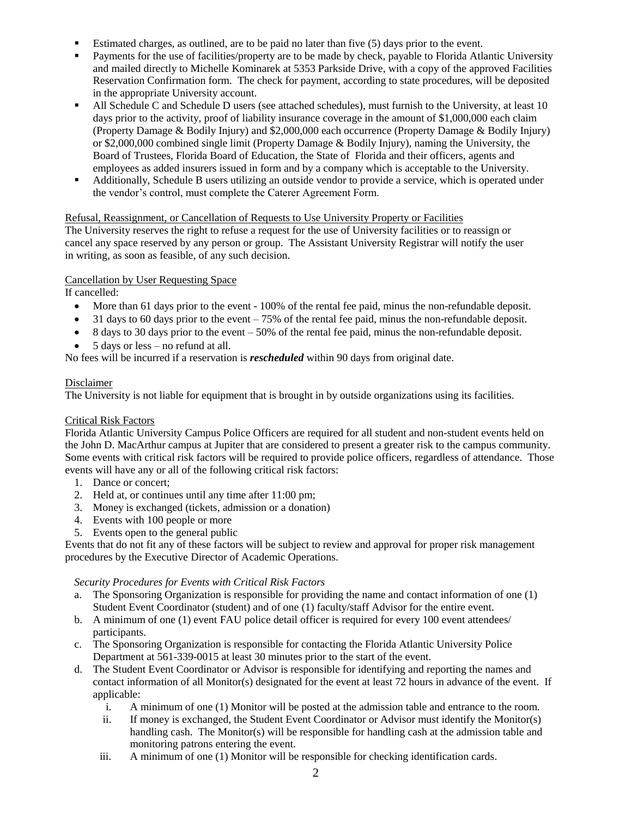- Estimated charges, as outlined, are to be paid no later than five (5) days prior to the event.
- Payments for the use of facilities/property are to be made by check, payable to Florida Atlantic University and mailed directly to Michelle Kominarek at 5353 Parkside Drive, with a copy of the approved Facilities Reservation Confirmation form. The check for payment, according to state procedures, will be deposited in the appropriate University account.
- All Schedule C and Schedule D users (see attached schedules), must furnish to the University, at least 10 days prior to the activity, proof of liability insurance coverage in the amount of \$1,000,000 each claim (Property Damage & Bodily Injury) and \$2,000,000 each occurrence (Property Damage & Bodily Injury) or \$2,000,000 combined single limit (Property Damage & Bodily Injury), naming the University, the Board of Trustees, Florida Board of Education, the State of Florida and their officers, agents and employees as added insurers issued in form and by a company which is acceptable to the University.
- Additionally, Schedule B users utilizing an outside vendor to provide a service, which is operated under the vendor's control, must complete the Caterer Agreement Form.

## Refusal, Reassignment, or Cancellation of Requests to Use University Property or Facilities

The University reserves the right to refuse a request for the use of University facilities or to reassign or cancel any space reserved by any person or group. The Assistant University Registrar will notify the user in writing, as soon as feasible, of any such decision.

## Cancellation by User Requesting Space

If cancelled:

- More than 61 days prior to the event 100% of the rental fee paid, minus the non-refundable deposit.
- $\bullet$  31 days to 60 days prior to the event 75% of the rental fee paid, minus the non-refundable deposit.
- 8 days to 30 days prior to the event 50% of the rental fee paid, minus the non-refundable deposit.
- 5 days or less no refund at all.

No fees will be incurred if a reservation is *rescheduled* within 90 days from original date.

## Disclaimer

The University is not liable for equipment that is brought in by outside organizations using its facilities.

## Critical Risk Factors

Florida Atlantic University Campus Police Officers are required for all student and non-student events held on the John D. MacArthur campus at Jupiter that are considered to present a greater risk to the campus community. Some events with critical risk factors will be required to provide police officers, regardless of attendance. Those events will have any or all of the following critical risk factors:

- 1. Dance or concert;
- 2. Held at, or continues until any time after 11:00 pm;
- 3. Money is exchanged (tickets, admission or a donation)
- 4. Events with 100 people or more
- 5. Events open to the general public

Events that do not fit any of these factors will be subject to review and approval for proper risk management procedures by the Executive Director of Academic Operations.

## *Security Procedures for Events with Critical Risk Factors*

- a. The Sponsoring Organization is responsible for providing the name and contact information of one (1) Student Event Coordinator (student) and of one (1) faculty/staff Advisor for the entire event.
- b. A minimum of one (1) event FAU police detail officer is required for every 100 event attendees/ participants.
- c. The Sponsoring Organization is responsible for contacting the Florida Atlantic University Police Department at 561-339-0015 at least 30 minutes prior to the start of the event.
- d. The Student Event Coordinator or Advisor is responsible for identifying and reporting the names and contact information of all Monitor(s) designated for the event at least 72 hours in advance of the event. If applicable:
	- i. A minimum of one (1) Monitor will be posted at the admission table and entrance to the room.
	- ii. If money is exchanged, the Student Event Coordinator or Advisor must identify the Monitor(s) handling cash. The Monitor(s) will be responsible for handling cash at the admission table and monitoring patrons entering the event.
	- iii. A minimum of one (1) Monitor will be responsible for checking identification cards.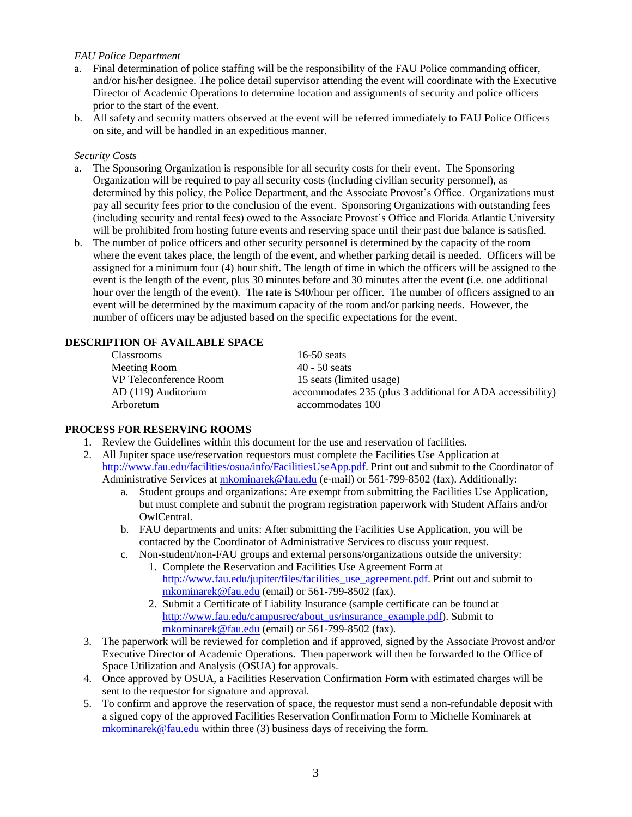## *FAU Police Department*

- a. Final determination of police staffing will be the responsibility of the FAU Police commanding officer, and/or his/her designee. The police detail supervisor attending the event will coordinate with the Executive Director of Academic Operations to determine location and assignments of security and police officers prior to the start of the event.
- b. All safety and security matters observed at the event will be referred immediately to FAU Police Officers on site, and will be handled in an expeditious manner.

#### *Security Costs*

- a. The Sponsoring Organization is responsible for all security costs for their event. The Sponsoring Organization will be required to pay all security costs (including civilian security personnel), as determined by this policy, the Police Department, and the Associate Provost's Office. Organizations must pay all security fees prior to the conclusion of the event. Sponsoring Organizations with outstanding fees (including security and rental fees) owed to the Associate Provost's Office and Florida Atlantic University will be prohibited from hosting future events and reserving space until their past due balance is satisfied.
- b. The number of police officers and other security personnel is determined by the capacity of the room where the event takes place, the length of the event, and whether parking detail is needed. Officers will be assigned for a minimum four (4) hour shift. The length of time in which the officers will be assigned to the event is the length of the event, plus 30 minutes before and 30 minutes after the event (i.e. one additional hour over the length of the event). The rate is \$40/hour per officer. The number of officers assigned to an event will be determined by the maximum capacity of the room and/or parking needs. However, the number of officers may be adjusted based on the specific expectations for the event.

## **DESCRIPTION OF AVAILABLE SPACE**

| Classrooms             | $16-50$ seats                                              |
|------------------------|------------------------------------------------------------|
| Meeting Room           | $40 - 50$ seats                                            |
| VP Teleconference Room | 15 seats (limited usage)                                   |
| AD (119) Auditorium    | accommodates 235 (plus 3 additional for ADA accessibility) |
| Arboretum              | accommodates 100                                           |

#### **PROCESS FOR RESERVING ROOMS**

- 1. Review the Guidelines within this document for the use and reservation of facilities.
- 2. All Jupiter space use/reservation requestors must complete the Facilities Use Application at [http://www.fau.edu/facilities/osua/info/FacilitiesUseApp.pdf.](http://www.fau.edu/facilities/osua/info/FacilitiesUseApp.pdf) Print out and submit to the Coordinator of Administrative Services at [mkominarek@fau.edu](mailto:tovathan@fau.edu) (e-mail) or 561-799-8502 (fax). Additionally:
	- a. Student groups and organizations: Are exempt from submitting the Facilities Use Application, but must complete and submit the program registration paperwork with Student Affairs and/or OwlCentral.
	- b. FAU departments and units: After submitting the Facilities Use Application, you will be contacted by the Coordinator of Administrative Services to discuss your request.
	- c. Non-student/non-FAU groups and external persons/organizations outside the university:
		- 1. Complete the Reservation and Facilities Use Agreement Form at [http://www.fau.edu/jupiter/files/facilities\\_use\\_agreement.pdf.](http://www.fau.edu/jupiter/files/facilities_use_agreement.pdf) Print out and submit to [mkominarek@fau.edu](mailto:tovathan@fau.edu) (email) or 561-799-8502 (fax).
		- 2. Submit a Certificate of Liability Insurance (sample certificate can be found at [http://www.fau.edu/campusrec/about\\_us/insurance\\_example.pdf\)](http://www.fau.edu/campusrec/about_us/insurance_example.pdf). Submit to [mkominarek@fau.edu](mailto:mkominarek@fau.edu) (email) or 561-799-8502 (fax).
- 3. The paperwork will be reviewed for completion and if approved, signed by the Associate Provost and/or Executive Director of Academic Operations. Then paperwork will then be forwarded to the Office of Space Utilization and Analysis (OSUA) for approvals.
- 4. Once approved by OSUA, a Facilities Reservation Confirmation Form with estimated charges will be sent to the requestor for signature and approval.
- 5. To confirm and approve the reservation of space, the requestor must send a non-refundable deposit with a signed copy of the approved Facilities Reservation Confirmation Form to Michelle Kominarek at [mkominarek@fau.edu](mailto:mkominarek@fau.edu) within three (3) business days of receiving the form.